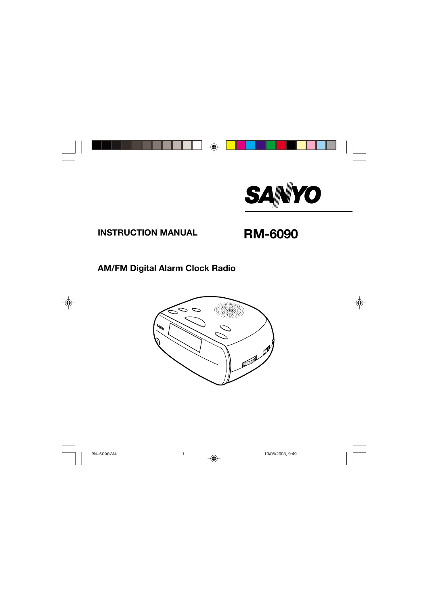

# **INSTRUCTION MANUAL RM-6090**

## **AM/FM Digital Alarm Clock Radio**

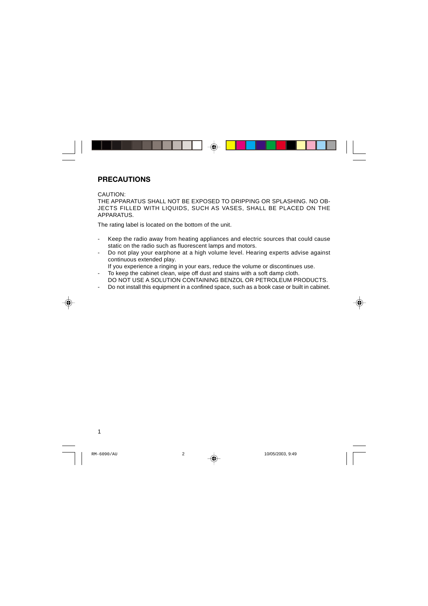### **PRECAUTIONS**

CAUTION:

THE APPARATUS SHALL NOT BE EXPOSED TO DRIPPING OR SPLASHING. NO OB-JECTS FILLED WITH LIQUIDS, SUCH AS VASES, SHALL BE PLACED ON THE APPARATUS.

The rating label is located on the bottom of the unit.

- Keep the radio away from heating appliances and electric sources that could cause static on the radio such as fluorescent lamps and motors.
- Do not play your earphone at a high volume level. Hearing experts advise against continuous extended play.
	- If you experience a ringing in your ears, reduce the volume or discontinues use.
- To keep the cabinet clean, wipe off dust and stains with a soft damp cloth. DO NOT USE A SOLUTION CONTAINING BENZOL OR PETROLEUM PRODUCTS.
- Do not install this equipment in a confined space, such as a book case or built in cabinet.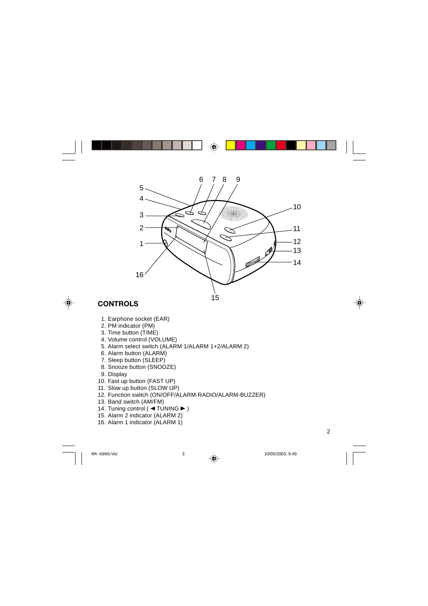

## **CONTROLS**

- 1. Earphone socket (EAR)
- 2. PM indicator (PM)
- 3. Time button (TIME)
- 4. Volume control (VOLUME)
- 5. Alarm select switch (ALARM 1/ALARM 1+2/ALARM 2)
- 6. Alarm button (ALARM)
- 7. Sleep button (SLEEP)
- 8. Snooze button (SNOOZE)
- 9. Display
- 10. Fast up button (FAST UP)
- 11. Slow up button (SLOW UP)
- 12. Function switch (ON/OFF/ALARM-RADIO/ALARM-BUZZER)
- 13. Band switch (AM/FM)
- 14. Tuning control (<a TUNING >)
- 15. Alarm 2 indicator (ALARM 2)
- 16. Alarm 1 indicator (ALARM 1)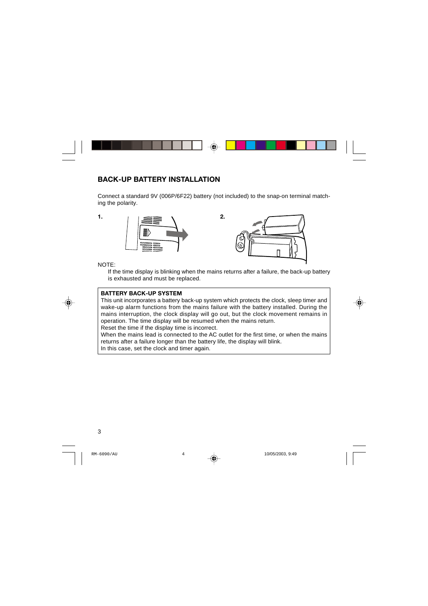### **BACK-UP BATTERY INSTALLATION**

Connect a standard 9V (006P/6F22) battery (not included) to the snap-on terminal matching the polarity.





NOTE:

If the time display is blinking when the mains returns after a failure, the back-up battery is exhausted and must be replaced.

#### **BATTERY BACK-UP SYSTEM**

This unit incorporates a battery back-up system which protects the clock, sleep timer and wake-up alarm functions from the mains failure with the battery installed. During the mains interruption, the clock display will go out, but the clock movement remains in operation. The time display will be resumed when the mains return.

Reset the time if the display time is incorrect.

When the mains lead is connected to the AC outlet for the first time, or when the mains returns after a failure longer than the battery life, the display will blink.

In this case, set the clock and timer again.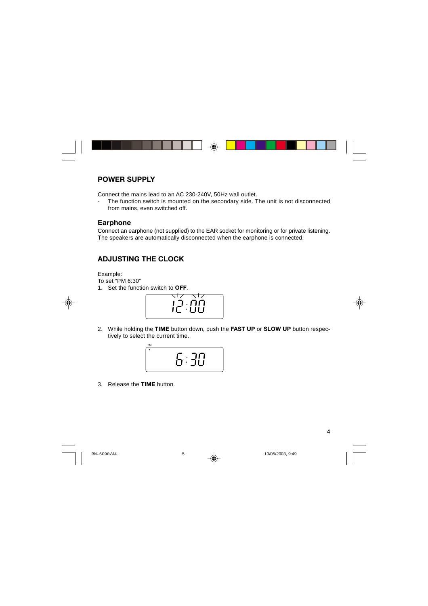#### **POWER SUPPLY**

Connect the mains lead to an AC 230-240V, 50Hz wall outlet.

- The function switch is mounted on the secondary side. The unit is not disconnected from mains, even switched off.

#### **Earphone**

Connect an earphone (not supplied) to the EAR socket for monitoring or for private listening. The speakers are automatically disconnected when the earphone is connected.

## **ADJUSTING THE CLOCK**

Example:

To set "PM 6:30"

1. Set the function switch to **OFF**.



2. While holding the **TIME** button down, push the **FAST UP** or **SLOW UP** button respectively to select the current time.



3. Release the **TIME** button.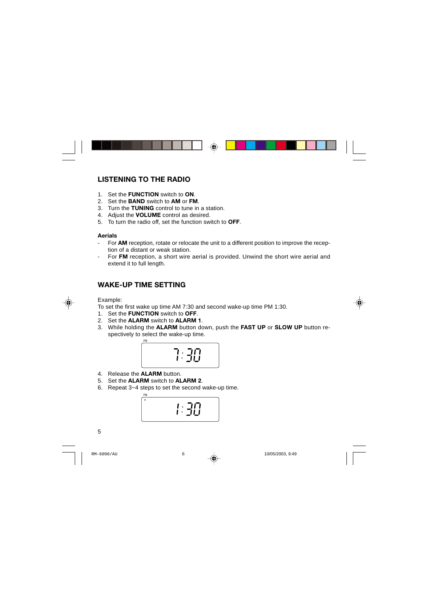## **LISTENING TO THE RADIO**

- 1. Set the **FUNCTION** switch to **ON**.
- 2. Set the **BAND** switch to **AM** or **FM**.
- 3. Turn the **TUNING** control to tune in a station.
- 4. Adjust the **VOLUME** control as desired.
- 5. To turn the radio off, set the function switch to **OFF**.

#### **Aerials**

- For **AM** reception, rotate or relocate the unit to a different position to improve the reception of a distant or weak station.
- For **FM** reception, a short wire aerial is provided. Unwind the short wire aerial and extend it to full length.

## **WAKE-UP TIME SETTING**

Example:

To set the first wake up time AM 7:30 and second wake-up time PM 1:30.

- 1. Set the **FUNCTION** switch to **OFF**.
- 2. Set the **ALARM** switch to **ALARM 1**.
- 3. While holding the **ALARM** button down, push the **FAST UP** or **SLOW UP** button respectively to select the wake-up time.



- 4. Release the **ALARM** button.
- 5. Set the **ALARM** switch to **ALARM 2**.
- 6. Repeat 3~4 steps to set the second wake-up time.

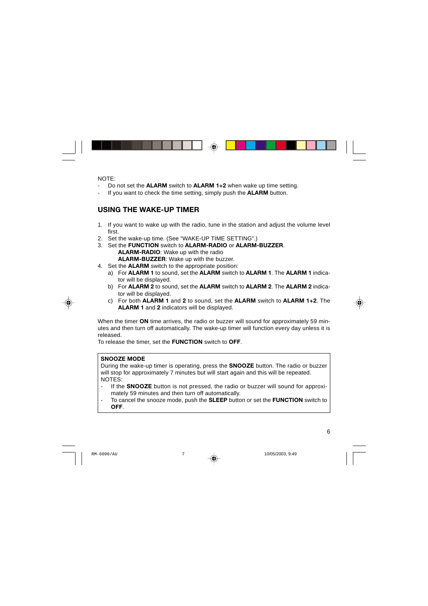NOTE:

- Do not set the **ALARM** switch to **ALARM 1+2** when wake up time setting.
- If you want to check the time setting, simply push the **ALARM** button.

## **USING THE WAKE-UP TIMER**

- 1. If you want to wake up with the radio, tune in the station and adjust the volume level first.
- 2. Set the wake-up time. (See "WAKE-UP TIME SETTING".)
- 3. Set the **FUNCTION** switch to **ALARM-RADIO** or **ALARM-BUZZER**. **ALARM-RADIO**: Wake up with the radio **ALARM-BUZZER**: Wake up with the buzzer.
- 4. Set the **ALARM** switch to the appropriate position:
	- a) For **ALARM 1** to sound, set the **ALARM** switch to **ALARM 1**. The **ALARM 1** indicator will be displayed.
	- b) For **ALARM 2** to sound, set the **ALARM** switch to **ALARM 2**. The **ALARM 2** indicator will be displayed.
	- c) For both **ALARM 1** and **2** to sound, set the **ALARM** switch to **ALARM 1+2**. The **ALARM 1** and **2** indicators will be displayed.

When the timer **ON** time arrives, the radio or buzzer will sound for approximately 59 minutes and then turn off automatically. The wake-up timer will function every day unless it is released.

To release the timer, set the **FUNCTION** switch to **OFF**.

#### **SNOOZE MODE**

During the wake-up timer is operating, press the **SNOOZE** button. The radio or buzzer will stop for approximately 7 minutes but will start again and this will be repeated. NOTES:

- If the **SNOOZE** button is not pressed, the radio or buzzer will sound for approximately 59 minutes and then turn off automatically.
- To cancel the snooze mode, push the **SLEEP** button or set the **FUNCTION** switch to **OFF**.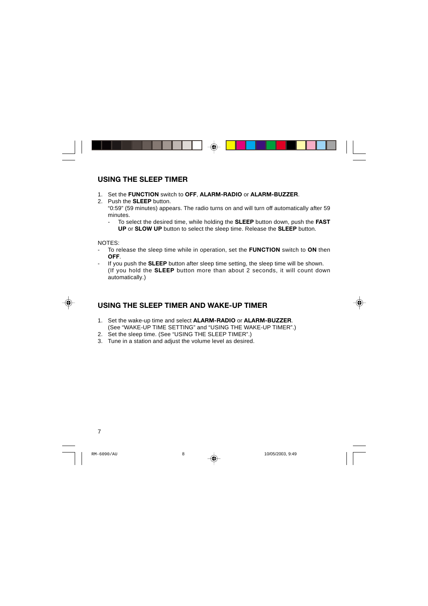### **USING THE SLEEP TIMER**

- 1. Set the **FUNCTION** switch to **OFF**, **ALARM-RADIO** or **ALARM-BUZZER**.
- 2. Push the **SLEEP** button.

"0:59" (59 minutes) appears. The radio turns on and will turn off automatically after 59 minutes.

- To select the desired time, while holding the **SLEEP** button down, push the **FAST UP** or **SLOW UP** button to select the sleep time. Release the **SLEEP** button.

NOTES:

- To release the sleep time while in operation, set the **FUNCTION** switch to **ON** then **OFF**.
- If you push the **SLEEP** button after sleep time setting, the sleep time will be shown. (If you hold the **SLEEP** button more than about 2 seconds, it will count down automatically.)

## **USING THE SLEEP TIMER AND WAKE-UP TIMER**

- 1. Set the wake-up time and select **ALARM-RADIO** or **ALARM-BUZZER**. (See "WAKE-UP TIME SETTING" and "USING THE WAKE-UP TIMER".)
- 2. Set the sleep time. (See "USING THE SLEEP TIMER".)
- 3. Tune in a station and adjust the volume level as desired.